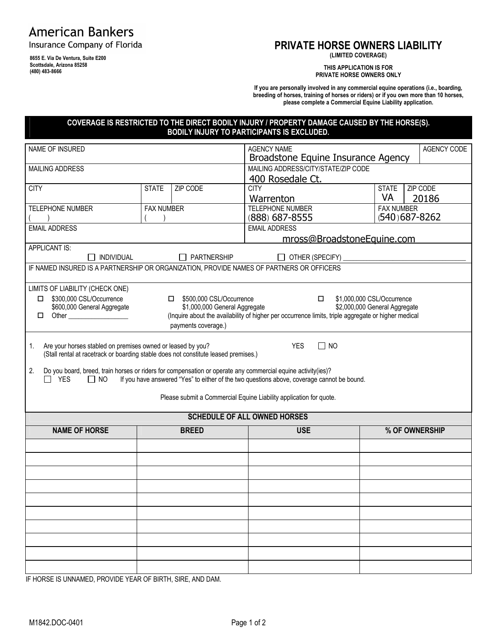# **American Bankers**

Insurance Company of Florida

**8655 E. Via De Ventura, Suite E200 Scottsdale, Arizona 85258 (480) 483-8666**

# **PRIVATE HORSE OWNERS LIABILITY**

**(LIMITED COVERAGE)**

**THIS APPLICATION IS FOR PRIVATE HORSE OWNERS ONLY**

**If you are personally involved in any commercial equine operations (i.e., boarding, breeding of horses, training of horses or riders) or if you own more than 10 horses, please complete a Commercial Equine Liability application.**

#### **COVERAGE IS RESTRICTED TO THE DIRECT BODILY INJURY / PROPERTY DAMAGE CAUSED BY THE HORSE(S). BODILY INJURY TO PARTICIPANTS IS EXCLUDED.**

| NAME OF INSURED                                                                                                                                                                                                                                                                                           |                   |                                                                                    | <b>AGENCY NAME</b><br>AGENCY CODE<br>Broadstone Equine Insurance Agency                                                                                                                     |                                                |                |  |  |
|-----------------------------------------------------------------------------------------------------------------------------------------------------------------------------------------------------------------------------------------------------------------------------------------------------------|-------------------|------------------------------------------------------------------------------------|---------------------------------------------------------------------------------------------------------------------------------------------------------------------------------------------|------------------------------------------------|----------------|--|--|
| MAILING ADDRESS                                                                                                                                                                                                                                                                                           |                   |                                                                                    | MAILING ADDRESS/CITY/STATE/ZIP CODE<br>400 Rosedale Ct.                                                                                                                                     |                                                |                |  |  |
| <b>CITY</b>                                                                                                                                                                                                                                                                                               | <b>STATE</b>      | ZIP CODE                                                                           | <b>CITY</b><br>Warrenton                                                                                                                                                                    | ZIP CODE<br><b>STATE</b><br><b>VA</b><br>20186 |                |  |  |
| <b>TELEPHONE NUMBER</b>                                                                                                                                                                                                                                                                                   | <b>FAX NUMBER</b> |                                                                                    | TELEPHONE NUMBER                                                                                                                                                                            | <b>FAX NUMBER</b>                              |                |  |  |
| <b>EMAIL ADDRESS</b>                                                                                                                                                                                                                                                                                      |                   |                                                                                    | $(540)$ 687-8262<br>(888) 687-8555<br><b>EMAIL ADDRESS</b>                                                                                                                                  |                                                |                |  |  |
| <b>APPLICANT IS:</b>                                                                                                                                                                                                                                                                                      |                   |                                                                                    | mross@BroadstoneEquine.com                                                                                                                                                                  |                                                |                |  |  |
| INDIVIDUAL                                                                                                                                                                                                                                                                                                |                   | $\Box$ PARTNERSHIP                                                                 | $\Box$ OTHER (SPECIFY) $\Box$                                                                                                                                                               |                                                |                |  |  |
| IF NAMED INSURED IS A PARTNERSHIP OR ORGANIZATION, PROVIDE NAMES OF PARTNERS OR OFFICERS                                                                                                                                                                                                                  |                   |                                                                                    |                                                                                                                                                                                             |                                                |                |  |  |
| LIMITS OF LIABILITY (CHECK ONE)<br>\$300,000 CSL/Occurrence<br>\$600,000 General Aggregate<br>□                                                                                                                                                                                                           |                   | □ \$500,000 CSL/Occurrence<br>\$1,000,000 General Aggregate<br>payments coverage.) | \$1,000,000 CSL/Occurrence<br>$\Box$<br>\$2,000,000 General Aggregate<br>(Inquire about the availability of higher per occurrence limits, triple aggregate or higher medical                |                                                |                |  |  |
| Are your horses stabled on premises owned or leased by you?<br>1.<br>(Stall rental at racetrack or boarding stable does not constitute leased premises.)<br>Do you board, breed, train horses or riders for compensation or operate any commercial equine activity(ies)?<br>2.<br>$\Box$ YES<br>$\Box$ NO |                   |                                                                                    | <b>YES</b><br>$\Box$ NO<br>If you have answered "Yes" to either of the two questions above, coverage cannot be bound.<br>Please submit a Commercial Equine Liability application for quote. |                                                |                |  |  |
| <b>SCHEDULE OF ALL OWNED HORSES</b>                                                                                                                                                                                                                                                                       |                   |                                                                                    |                                                                                                                                                                                             |                                                |                |  |  |
| <b>NAME OF HORSE</b>                                                                                                                                                                                                                                                                                      |                   | <b>BREED</b>                                                                       | <b>USE</b>                                                                                                                                                                                  |                                                | % OF OWNERSHIP |  |  |
|                                                                                                                                                                                                                                                                                                           |                   |                                                                                    |                                                                                                                                                                                             |                                                |                |  |  |
|                                                                                                                                                                                                                                                                                                           |                   |                                                                                    |                                                                                                                                                                                             |                                                |                |  |  |
|                                                                                                                                                                                                                                                                                                           |                   |                                                                                    |                                                                                                                                                                                             |                                                |                |  |  |
|                                                                                                                                                                                                                                                                                                           |                   |                                                                                    |                                                                                                                                                                                             |                                                |                |  |  |
|                                                                                                                                                                                                                                                                                                           |                   |                                                                                    |                                                                                                                                                                                             |                                                |                |  |  |
|                                                                                                                                                                                                                                                                                                           |                   |                                                                                    |                                                                                                                                                                                             |                                                |                |  |  |
|                                                                                                                                                                                                                                                                                                           |                   |                                                                                    |                                                                                                                                                                                             |                                                |                |  |  |
|                                                                                                                                                                                                                                                                                                           |                   |                                                                                    |                                                                                                                                                                                             |                                                |                |  |  |
| IF HODGE IS UNIMARED, DDOUGE VEAD OF DIDTLL ODE, AND DAM                                                                                                                                                                                                                                                  |                   |                                                                                    |                                                                                                                                                                                             |                                                |                |  |  |

IF HORSE IS UNNAMED, PROVIDE YEAR OF BIRTH, SIRE, AND DAM.